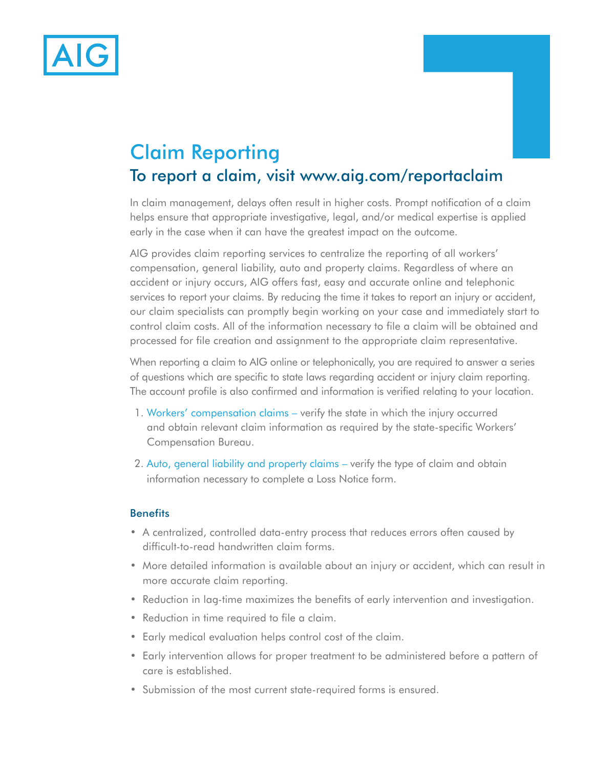

# Claim Reporting To report a claim, visit www.aig.com/reportaclaim

In claim management, delays often result in higher costs. Prompt notification of a claim helps ensure that appropriate investigative, legal, and/or medical expertise is applied early in the case when it can have the greatest impact on the outcome.

AIG provides claim reporting services to centralize the reporting of all workers' compensation, general liability, auto and property claims. Regardless of where an accident or injury occurs, AIG offers fast, easy and accurate online and telephonic services to report your claims. By reducing the time it takes to report an injury or accident, our claim specialists can promptly begin working on your case and immediately start to control claim costs. All of the information necessary to file a claim will be obtained and processed for file creation and assignment to the appropriate claim representative.

When reporting a claim to AIG online or telephonically, you are required to answer a series of questions which are specific to state laws regarding accident or injury claim reporting. The account profile is also confirmed and information is verified relating to your location.

- 1. Workers' compensation claims verify the state in which the injury occurred and obtain relevant claim information as required by the state-specific Workers' Compensation Bureau.
- 2. Auto, general liability and property claims verify the type of claim and obtain information necessary to complete a Loss Notice form.

# **Benefits**

- A centralized, controlled data-entry process that reduces errors often caused by difficult-to-read handwritten claim forms.
- More detailed information is available about an injury or accident, which can result in more accurate claim reporting.
- Reduction in lag-time maximizes the benefits of early intervention and investigation.
- Reduction in time required to file a claim.
- Early medical evaluation helps control cost of the claim.
- Early intervention allows for proper treatment to be administered before a pattern of care is established.
- Submission of the most current state-required forms is ensured.